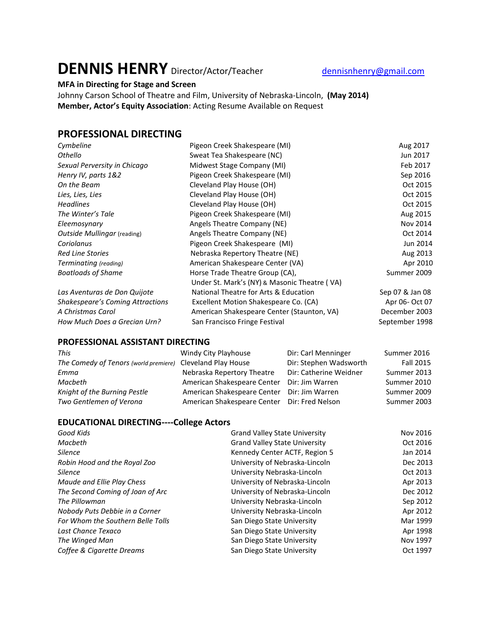# **DENNIS HENRY** Director/Actor/Teacher [dennisnhenry@gmail.com](mailto:dennisnhenry@gmail.com)

## **MFA in Directing for Stage and Screen**

Johnny Carson School of Theatre and Film, University of Nebraska-Lincoln, **(May 2014) Member, Actor's Equity Association**: Acting Resume Available on Request

### **PROFESSIONAL DIRECTING**

| Pigeon Creek Shakespeare (MI)                | Aug 2017        |
|----------------------------------------------|-----------------|
| Sweat Tea Shakespeare (NC)                   | Jun 2017        |
| Midwest Stage Company (MI)                   | Feb 2017        |
| Pigeon Creek Shakespeare (MI)                | Sep 2016        |
| Cleveland Play House (OH)                    | Oct 2015        |
| Cleveland Play House (OH)                    | Oct 2015        |
| Cleveland Play House (OH)                    | Oct 2015        |
| Pigeon Creek Shakespeare (MI)                | Aug 2015        |
| Angels Theatre Company (NE)                  | Nov 2014        |
| Angels Theatre Company (NE)                  | Oct 2014        |
| Pigeon Creek Shakespeare (MI)                | Jun 2014        |
| Nebraska Repertory Theatre (NE)              | Aug 2013        |
| American Shakespeare Center (VA)             | Apr 2010        |
| Horse Trade Theatre Group (CA),              | Summer 2009     |
| Under St. Mark's (NY) & Masonic Theatre (VA) |                 |
| National Theatre for Arts & Education        | Sep 07 & Jan 08 |
| Excellent Motion Shakespeare Co. (CA)        | Apr 06- Oct 07  |
| American Shakespeare Center (Staunton, VA)   | December 2003   |
| San Francisco Fringe Festival                | September 1998  |
|                                              |                 |

#### **PROFESSIONAL ASSISTANT DIRECTING**

| <b>This</b>                                                | Windy City Playhouse                         | Dir: Carl Menninger    | Summer 2016      |
|------------------------------------------------------------|----------------------------------------------|------------------------|------------------|
| The Comedy of Tenors (world premiere) Cleveland Play House |                                              | Dir: Stephen Wadsworth | <b>Fall 2015</b> |
| Emma                                                       | Nebraska Repertory Theatre                   | Dir: Catherine Weidner | Summer 2013      |
| Macbeth                                                    | American Shakespeare Center Dir: Jim Warren  |                        | Summer 2010      |
| Knight of the Burning Pestle                               | American Shakespeare Center Dir: Jim Warren  |                        | Summer 2009      |
| Two Gentlemen of Verona                                    | American Shakespeare Center Dir: Fred Nelson |                        | Summer 2003      |

#### **EDUCATIONAL DIRECTING----College Actors**

| Good Kids                         | <b>Grand Valley State University</b> | Nov 2016 |
|-----------------------------------|--------------------------------------|----------|
| Macbeth                           | <b>Grand Valley State University</b> | Oct 2016 |
| <b>Silence</b>                    | Kennedy Center ACTF, Region 5        | Jan 2014 |
| Robin Hood and the Royal Zoo      | University of Nebraska-Lincoln       | Dec 2013 |
| <b>Silence</b>                    | University Nebraska-Lincoln          | Oct 2013 |
| Maude and Ellie Play Chess        | University of Nebraska-Lincoln       | Apr 2013 |
| The Second Coming of Joan of Arc  | University of Nebraska-Lincoln       | Dec 2012 |
| The Pillowman                     | University Nebraska-Lincoln          | Sep 2012 |
| Nobody Puts Debbie in a Corner    | University Nebraska-Lincoln          | Apr 2012 |
| For Whom the Southern Belle Tolls | San Diego State University           | Mar 1999 |
| Last Chance Texaco                | San Diego State University           | Apr 1998 |
| The Winged Man                    | San Diego State University           | Nov 1997 |
| Coffee & Cigarette Dreams         | San Diego State University           | Oct 1997 |